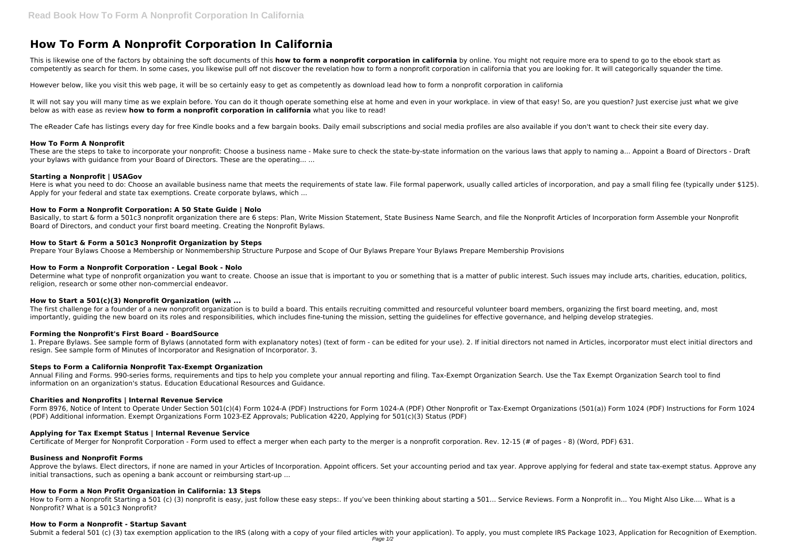# **How To Form A Nonprofit Corporation In California**

This is likewise one of the factors by obtaining the soft documents of this **how to form a nonprofit corporation in california** by online. You might not require more era to spend to go to the ebook start as competently as search for them. In some cases, you likewise pull off not discover the revelation how to form a nonprofit corporation in california that you are looking for. It will categorically squander the time.

It will not say you will many time as we explain before. You can do it though operate something else at home and even in your workplace, in view of that easy! So, are you question? Just exercise just what we give below as with ease as review **how to form a nonprofit corporation in california** what you like to read!

However below, like you visit this web page, it will be so certainly easy to get as competently as download lead how to form a nonprofit corporation in california

These are the steps to take to incorporate your nonprofit: Choose a business name - Make sure to check the state-by-state information on the various laws that apply to naming a... Appoint a Board of Directors - Draft your bylaws with guidance from your Board of Directors. These are the operating... ...

Here is what you need to do: Choose an available business name that meets the requirements of state law. File formal paperwork, usually called articles of incorporation, and pay a small filing fee (typically under \$125). Apply for your federal and state tax exemptions. Create corporate bylaws, which ...

The eReader Cafe has listings every day for free Kindle books and a few bargain books. Daily email subscriptions and social media profiles are also available if you don't want to check their site every day.

Basically, to start & form a 501c3 nonprofit organization there are 6 steps: Plan, Write Mission Statement, State Business Name Search, and file the Nonprofit Articles of Incorporation form Assemble your Nonprofit Board of Directors, and conduct your first board meeting. Creating the Nonprofit Bylaws.

#### **How To Form A Nonprofit**

Determine what type of nonprofit organization you want to create. Choose an issue that is important to you or something that is a matter of public interest. Such issues may include arts, charities, education, politics, religion, research or some other non-commercial endeavor.

# **Starting a Nonprofit | USAGov**

# **How to Form a Nonprofit Corporation: A 50 State Guide | Nolo**

Form 8976, Notice of Intent to Operate Under Section 501(c)(4) Form 1024-A (PDF) Instructions for Form 1024-A (PDF) Other Nonprofit or Tax-Exempt Organizations (501(a)) Form 1024 (PDF) Instructions for Form 1024 (PDF) Additional information. Exempt Organizations Form 1023-EZ Approvals; Publication 4220, Applying for 501(c)(3) Status (PDF)

# **How to Start & Form a 501c3 Nonprofit Organization by Steps**

Prepare Your Bylaws Choose a Membership or Nonmembership Structure Purpose and Scope of Our Bylaws Prepare Your Bylaws Prepare Membership Provisions

Approve the bylaws. Elect directors, if none are named in your Articles of Incorporation. Appoint officers. Set your accounting period and tax year. Approve applying for federal and state tax-exempt status. Approve any initial transactions, such as opening a bank account or reimbursing start-up ...

# **How to Form a Nonprofit Corporation - Legal Book - Nolo**

How to Form a Nonprofit Starting a 501 (c) (3) nonprofit is easy, just follow these easy steps:. If you've been thinking about starting a 501... Service Reviews. Form a Nonprofit in... You Might Also Like.... What is a Nonprofit? What is a 501c3 Nonprofit?

# **How to Start a 501(c)(3) Nonprofit Organization (with ...**

The first challenge for a founder of a new nonprofit organization is to build a board. This entails recruiting committed and resourceful volunteer board members, organizing the first board meeting, and, most importantly, guiding the new board on its roles and responsibilities, which includes fine-tuning the mission, setting the guidelines for effective governance, and helping develop strategies.

#### **Forming the Nonprofit's First Board - BoardSource**

1. Prepare Bylaws. See sample form of Bylaws (annotated form with explanatory notes) (text of form - can be edited for your use). 2. If initial directors not named in Articles, incorporator must elect initial directors and resign. See sample form of Minutes of Incorporator and Resignation of Incorporator. 3.

#### **Steps to Form a California Nonprofit Tax-Exempt Organization**

Annual Filing and Forms. 990-series forms, requirements and tips to help you complete your annual reporting and filing. Tax-Exempt Organization Search. Use the Tax Exempt Organization Search tool to find information on an organization's status. Education Educational Resources and Guidance.

#### **Charities and Nonprofits | Internal Revenue Service**

# **Applying for Tax Exempt Status | Internal Revenue Service**

Certificate of Merger for Nonprofit Corporation - Form used to effect a merger when each party to the merger is a nonprofit corporation. Rev. 12-15 (# of pages - 8) (Word, PDF) 631.

#### **Business and Nonprofit Forms**

#### **How to Form a Non Profit Organization in California: 13 Steps**

#### **How to Form a Nonprofit - Startup Savant**

Submit a federal 501 (c) (3) tax exemption application to the IRS (along with a copy of your filed articles with your application). To apply, you must complete IRS Package 1023, Application for Recognition of Exemption.